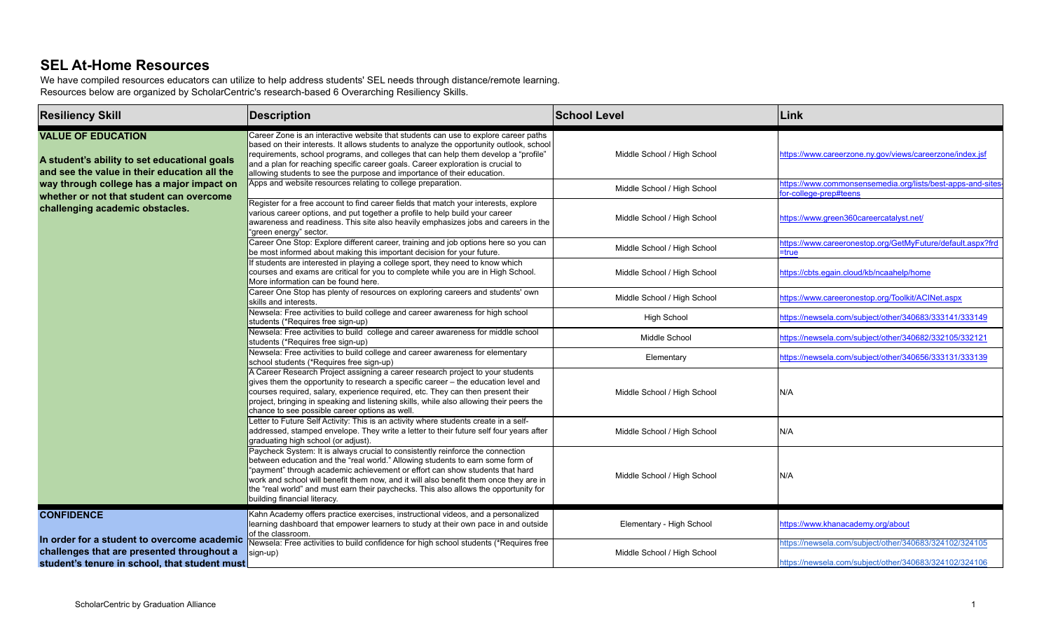## **SEL At-Home Resources**

We have compiled resources educators can utilize to help address students' SEL needs through distance/remote learning. Resources below are organized by ScholarCentric's research-based 6 Overarching Resiliency Skills.

| <b>Resiliency Skill</b>                                                                                                                    | <b>Description</b>                                                                                                                                                                                                                                                                                                                                                                                                                                                | <b>School Level</b>         | Link                                                                                                             |
|--------------------------------------------------------------------------------------------------------------------------------------------|-------------------------------------------------------------------------------------------------------------------------------------------------------------------------------------------------------------------------------------------------------------------------------------------------------------------------------------------------------------------------------------------------------------------------------------------------------------------|-----------------------------|------------------------------------------------------------------------------------------------------------------|
| <b>VALUE OF EDUCATION</b><br>A student's ability to set educational goals<br>and see the value in their education all the                  | Career Zone is an interactive website that students can use to explore career paths<br>based on their interests. It allows students to analyze the opportunity outlook, school<br>requirements, school programs, and colleges that can help them develop a "profile"<br>and a plan for reaching specific career goals. Career exploration is crucial to<br>allowing students to see the purpose and importance of their education.                                | Middle School / High School | https://www.careerzone.ny.gov/views/careerzone/index.jsf                                                         |
| way through college has a major impact on                                                                                                  | Apps and website resources relating to college preparation.                                                                                                                                                                                                                                                                                                                                                                                                       | Middle School / High School | https://www.commonsensemedia.org/lists/best-apps-and-sites<br>for-college-prep#teens                             |
| whether or not that student can overcome<br>challenging academic obstacles.                                                                | Register for a free account to find career fields that match your interests, explore<br>various career options, and put together a profile to help build your career<br>awareness and readiness. This site also heavily emphasizes jobs and careers in the<br>"green energy" sector.                                                                                                                                                                              | Middle School / High School | https://www.green360careercatalyst.net/                                                                          |
|                                                                                                                                            | Career One Stop: Explore different career, training and job options here so you can<br>be most informed about making this important decision for your future.                                                                                                                                                                                                                                                                                                     | Middle School / High School | https://www.careeronestop.org/GetMyFuture/default.aspx?frd<br>=true                                              |
|                                                                                                                                            | If students are interested in playing a college sport, they need to know which<br>courses and exams are critical for you to complete while you are in High School.<br>More information can be found here.                                                                                                                                                                                                                                                         | Middle School / High School | https://cbts.eqain.cloud/kb/ncaahelp/home                                                                        |
|                                                                                                                                            | Career One Stop has plenty of resources on exploring careers and students' own<br>skills and interests.                                                                                                                                                                                                                                                                                                                                                           | Middle School / High School | https://www.careeronestop.org/Toolkit/ACINet.aspx                                                                |
|                                                                                                                                            | Newsela: Free activities to build college and career awareness for high school<br>students (*Requires free sign-up)                                                                                                                                                                                                                                                                                                                                               | <b>High School</b>          | https://newsela.com/subject/other/340683/333141/333149                                                           |
|                                                                                                                                            | Newsela: Free activities to build college and career awareness for middle school<br>students (*Requires free sign-up)                                                                                                                                                                                                                                                                                                                                             | Middle School               | https://newsela.com/subiect/other/340682/332105/332121                                                           |
|                                                                                                                                            | Newsela: Free activities to build college and career awareness for elementary<br>school students (*Requires free sign-up)                                                                                                                                                                                                                                                                                                                                         | Elementary                  | https://newsela.com/subject/other/340656/333131/333139                                                           |
|                                                                                                                                            | A Career Research Project assigning a career research project to your students<br>gives them the opportunity to research a specific career – the education level and<br>courses required, salary, experience required, etc. They can then present their<br>project, bringing in speaking and listening skills, while also allowing their peers the<br>chance to see possible career options as well.                                                              | Middle School / High School | N/A                                                                                                              |
|                                                                                                                                            | Letter to Future Self Activity: This is an activity where students create in a self-<br>addressed, stamped envelope. They write a letter to their future self four years after<br>graduating high school (or adjust).                                                                                                                                                                                                                                             | Middle School / High School | N/A                                                                                                              |
|                                                                                                                                            | Paycheck System: It is always crucial to consistently reinforce the connection<br>between education and the "real world." Allowing students to earn some form of<br>"payment" through academic achievement or effort can show students that hard<br>work and school will benefit them now, and it will also benefit them once they are in<br>the "real world" and must earn their paychecks. This also allows the opportunity for<br>building financial literacy. | Middle School / High School | N/A                                                                                                              |
| <b>CONFIDENCE</b>                                                                                                                          | Kahn Academy offers practice exercises, instructional videos, and a personalized<br>learning dashboard that empower learners to study at their own pace in and outside<br>of the classroom.                                                                                                                                                                                                                                                                       | Elementary - High School    | https://www.khanacademy.org/about                                                                                |
| In order for a student to overcome academic<br>challenges that are presented throughout a<br>student's tenure in school, that student must | Newsela: Free activities to build confidence for high school students (*Requires free<br>sign-up)                                                                                                                                                                                                                                                                                                                                                                 | Middle School / High School | https://newsela.com/subject/other/340683/324102/324105<br>https://newsela.com/subject/other/340683/324102/324106 |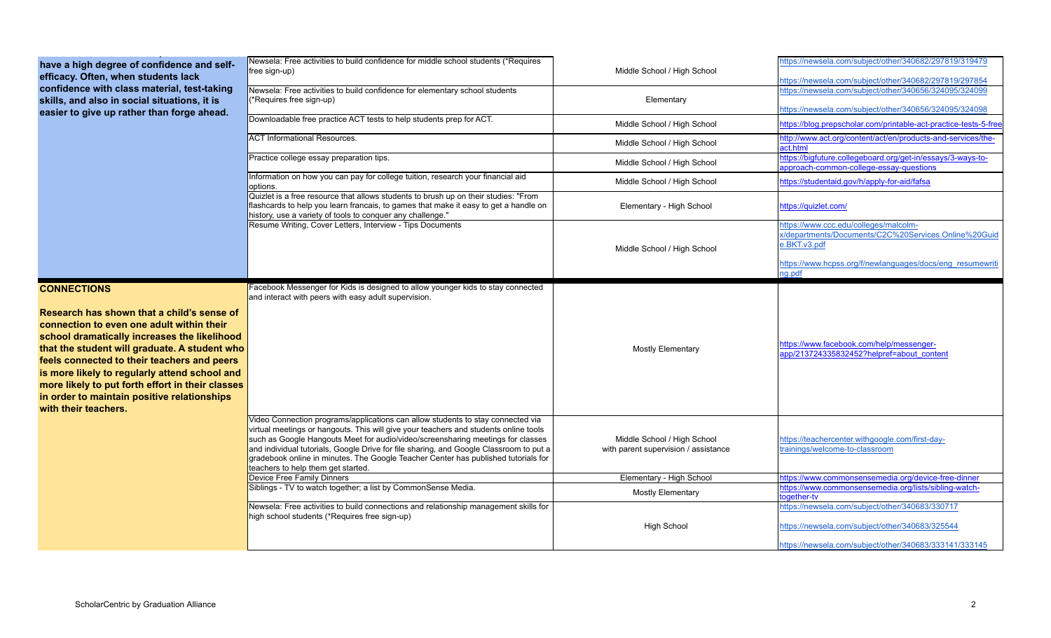| have a high degree of confidence and self-                                                                                                                                                                                                                                                                                                                                                                          | Newsela: Free activities to build confidence for middle school students (*Requires                                                                                                                                                                                                                                                                                                                                                                                               |                                                                     | https://newsela.com/subiect/other/340682/297819/319479                                                           |
|---------------------------------------------------------------------------------------------------------------------------------------------------------------------------------------------------------------------------------------------------------------------------------------------------------------------------------------------------------------------------------------------------------------------|----------------------------------------------------------------------------------------------------------------------------------------------------------------------------------------------------------------------------------------------------------------------------------------------------------------------------------------------------------------------------------------------------------------------------------------------------------------------------------|---------------------------------------------------------------------|------------------------------------------------------------------------------------------------------------------|
| efficacy. Often, when students lack                                                                                                                                                                                                                                                                                                                                                                                 | free sign-up)                                                                                                                                                                                                                                                                                                                                                                                                                                                                    | Middle School / High School                                         |                                                                                                                  |
| confidence with class material, test-taking                                                                                                                                                                                                                                                                                                                                                                         | Newsela: Free activities to build confidence for elementary school students                                                                                                                                                                                                                                                                                                                                                                                                      |                                                                     | https://newsela.com/subject/other/340682/297819/297854<br>https://newsela.com/subject/other/340656/324095/324099 |
| skills, and also in social situations, it is                                                                                                                                                                                                                                                                                                                                                                        | (*Requires free sign-up)                                                                                                                                                                                                                                                                                                                                                                                                                                                         | Elementary                                                          |                                                                                                                  |
| easier to give up rather than forge ahead.                                                                                                                                                                                                                                                                                                                                                                          |                                                                                                                                                                                                                                                                                                                                                                                                                                                                                  |                                                                     | https://newsela.com/subject/other/340656/324095/324098                                                           |
|                                                                                                                                                                                                                                                                                                                                                                                                                     | Downloadable free practice ACT tests to help students prep for ACT.                                                                                                                                                                                                                                                                                                                                                                                                              | Middle School / High School                                         | https://blog.prepscholar.com/printable-act-practice-tests-5-free                                                 |
|                                                                                                                                                                                                                                                                                                                                                                                                                     | <b>ACT Informational Resources.</b>                                                                                                                                                                                                                                                                                                                                                                                                                                              | Middle School / High School                                         | http://www.act.org/content/act/en/products-and-services/the-<br>act.html                                         |
|                                                                                                                                                                                                                                                                                                                                                                                                                     | Practice college essay preparation tips.                                                                                                                                                                                                                                                                                                                                                                                                                                         | Middle School / High School                                         | https://bigfuture.collegeboard.org/get-in/essays/3-ways-to-<br>approach-common-college-essay-questions           |
|                                                                                                                                                                                                                                                                                                                                                                                                                     | Information on how you can pay for college tuition, research your financial aid<br>options.                                                                                                                                                                                                                                                                                                                                                                                      | Middle School / High School                                         | https://studentaid.gov/h/apply-for-aid/fafsa                                                                     |
|                                                                                                                                                                                                                                                                                                                                                                                                                     | Quizlet is a free resource that allows students to brush up on their studies: "From<br>flashcards to help you learn francais, to games that make it easy to get a handle on<br>history, use a variety of tools to conquer any challenge."                                                                                                                                                                                                                                        | Elementary - High School                                            | https://quizlet.com/                                                                                             |
|                                                                                                                                                                                                                                                                                                                                                                                                                     | Resume Writing, Cover Letters, Interview - Tips Documents                                                                                                                                                                                                                                                                                                                                                                                                                        | Middle School / High School                                         | https://www.ccc.edu/colleges/malcolm-<br>x/departments/Documents/C2C%20Services.Online%20Guid<br>e.BKT.v3.pdf    |
|                                                                                                                                                                                                                                                                                                                                                                                                                     |                                                                                                                                                                                                                                                                                                                                                                                                                                                                                  |                                                                     | https://www.hcpss.org/f/newlanguages/docs/eng resumewriti<br>ng.pdf                                              |
| <b>CONNECTIONS</b>                                                                                                                                                                                                                                                                                                                                                                                                  | Facebook Messenger for Kids is designed to allow younger kids to stay connected<br>and interact with peers with easy adult supervision.                                                                                                                                                                                                                                                                                                                                          |                                                                     |                                                                                                                  |
| Research has shown that a child's sense of<br>connection to even one adult within their<br>school dramatically increases the likelihood<br>that the student will graduate. A student who<br>feels connected to their teachers and peers<br>is more likely to regularly attend school and<br>more likely to put forth effort in their classes<br>in order to maintain positive relationships<br>with their teachers. |                                                                                                                                                                                                                                                                                                                                                                                                                                                                                  | <b>Mostly Elementary</b>                                            | https://www.facebook.com/help/messenger-<br>app/213724335832452?helpref=about content                            |
|                                                                                                                                                                                                                                                                                                                                                                                                                     | Video Connection programs/applications can allow students to stay connected via<br>virtual meetings or hangouts. This will give your teachers and students online tools<br>such as Google Hangouts Meet for audio/video/screensharing meetings for classes<br>and individual tutorials, Google Drive for file sharing, and Google Classroom to put a<br>gradebook online in minutes. The Google Teacher Center has published tutorials for<br>teachers to help them get started. | Middle School / High School<br>with parent supervision / assistance | https://teachercenter.withgoogle.com/first-day-<br>trainings/welcome-to-classroom                                |
|                                                                                                                                                                                                                                                                                                                                                                                                                     | Device Free Family Dinners                                                                                                                                                                                                                                                                                                                                                                                                                                                       | Elementary - High School                                            | https://www.commonsensemedia.org/device-free-dinner                                                              |
|                                                                                                                                                                                                                                                                                                                                                                                                                     | Siblings - TV to watch together; a list by CommonSense Media.                                                                                                                                                                                                                                                                                                                                                                                                                    | <b>Mostly Elementary</b>                                            | https://www.commonsensemedia.org/lists/sibling-watch-<br>together-ty                                             |
|                                                                                                                                                                                                                                                                                                                                                                                                                     | Newsela: Free activities to build connections and relationship management skills for                                                                                                                                                                                                                                                                                                                                                                                             |                                                                     | https://newsela.com/subiect/other/340683/330717                                                                  |
|                                                                                                                                                                                                                                                                                                                                                                                                                     | high school students (*Requires free sign-up)                                                                                                                                                                                                                                                                                                                                                                                                                                    | <b>High School</b>                                                  | https://newsela.com/subject/other/340683/325544                                                                  |
|                                                                                                                                                                                                                                                                                                                                                                                                                     |                                                                                                                                                                                                                                                                                                                                                                                                                                                                                  |                                                                     | https://newsela.com/subject/other/340683/333141/333145                                                           |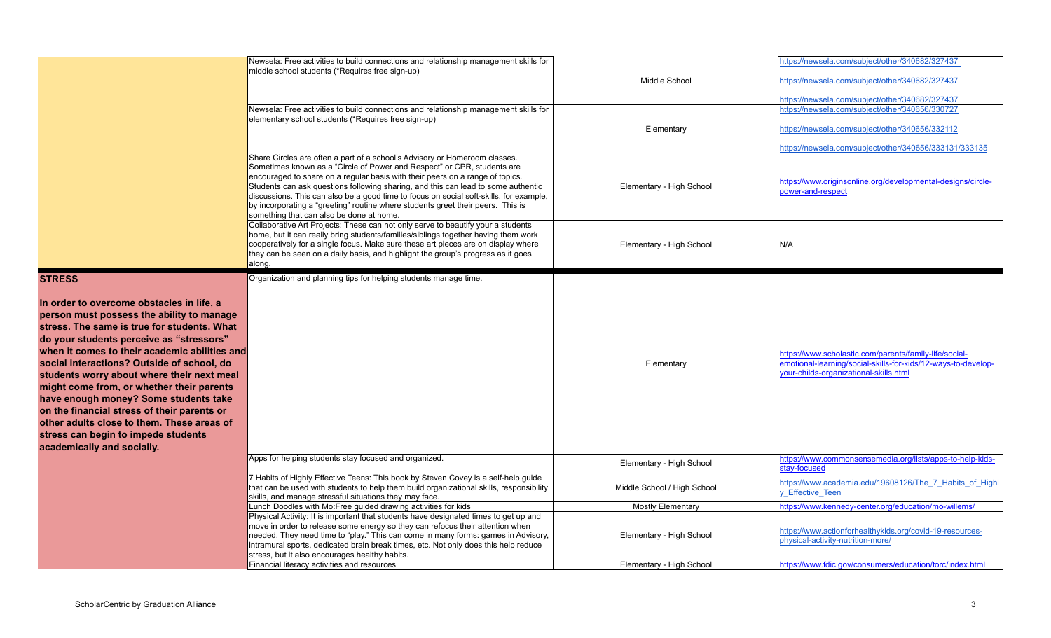|                                                                                                                                                                                                                                                                                                                                                                                                                                                                                                                                                                                                         | Newsela: Free activities to build connections and relationship management skills for<br>middle school students (*Requires free sign-up)<br>Newsela: Free activities to build connections and relationship management skills for                                                                                                                                                                                                                                                                                                                      | Middle School               | https://newsela.com/subject/other/340682/327437<br>https://newsela.com/subject/other/340682/327437<br>https://newsela.com/subject/other/340682/327437<br>https://newsela.com/subject/other/340656/330727 |
|---------------------------------------------------------------------------------------------------------------------------------------------------------------------------------------------------------------------------------------------------------------------------------------------------------------------------------------------------------------------------------------------------------------------------------------------------------------------------------------------------------------------------------------------------------------------------------------------------------|------------------------------------------------------------------------------------------------------------------------------------------------------------------------------------------------------------------------------------------------------------------------------------------------------------------------------------------------------------------------------------------------------------------------------------------------------------------------------------------------------------------------------------------------------|-----------------------------|----------------------------------------------------------------------------------------------------------------------------------------------------------------------------------------------------------|
|                                                                                                                                                                                                                                                                                                                                                                                                                                                                                                                                                                                                         | elementary school students (*Requires free sign-up)                                                                                                                                                                                                                                                                                                                                                                                                                                                                                                  | Elementary                  | https://newsela.com/subject/other/340656/332112<br>https://newsela.com/subject/other/340656/333131/333135                                                                                                |
|                                                                                                                                                                                                                                                                                                                                                                                                                                                                                                                                                                                                         | Share Circles are often a part of a school's Advisory or Homeroom classes.<br>Sometimes known as a "Circle of Power and Respect" or CPR, students are<br>encouraged to share on a regular basis with their peers on a range of topics.<br>Students can ask questions following sharing, and this can lead to some authentic<br>discussions. This can also be a good time to focus on social soft-skills, for example,<br>by incorporating a "greeting" routine where students greet their peers. This is<br>something that can also be done at home. | Elementary - High School    | https://www.originsonline.org/developmental-designs/circle-<br>power-and-respect                                                                                                                         |
|                                                                                                                                                                                                                                                                                                                                                                                                                                                                                                                                                                                                         | Collaborative Art Projects: These can not only serve to beautify your a students<br>home, but it can really bring students/families/siblings together having them work<br>cooperatively for a single focus. Make sure these art pieces are on display where<br>they can be seen on a daily basis, and highlight the group's progress as it goes<br>along.                                                                                                                                                                                            | Elementary - High School    | N/A                                                                                                                                                                                                      |
| <b>STRESS</b><br>In order to overcome obstacles in life, a<br>person must possess the ability to manage<br>stress. The same is true for students. What<br>do your students perceive as "stressors"<br>when it comes to their academic abilities and<br>social interactions? Outside of school, do<br>students worry about where their next meal<br>might come from, or whether their parents<br>have enough money? Some students take<br>on the financial stress of their parents or<br>other adults close to them. These areas of<br>stress can begin to impede students<br>academically and socially. | Organization and planning tips for helping students manage time.                                                                                                                                                                                                                                                                                                                                                                                                                                                                                     | Elementary                  | https://www.scholastic.com/parents/family-life/social-<br>emotional-learning/social-skills-for-kids/12-ways-to-develop-<br>your-childs-organizational-skills.html                                        |
|                                                                                                                                                                                                                                                                                                                                                                                                                                                                                                                                                                                                         | Apps for helping students stay focused and organized.                                                                                                                                                                                                                                                                                                                                                                                                                                                                                                | Elementary - High School    | https://www.commonsensemedia.org/lists/apps-to-help-kids-<br>tav-focused                                                                                                                                 |
|                                                                                                                                                                                                                                                                                                                                                                                                                                                                                                                                                                                                         | 7 Habits of Highly Effective Teens: This book by Steven Covey is a self-help guide<br>that can be used with students to help them build organizational skills, responsibility<br>skills, and manage stressful situations they may face.                                                                                                                                                                                                                                                                                                              | Middle School / High School | https://www.academia.edu/19608126/The 7 Habits of Highl<br><b>Effective Teen</b>                                                                                                                         |
|                                                                                                                                                                                                                                                                                                                                                                                                                                                                                                                                                                                                         | Lunch Doodles with Mo: Free guided drawing activities for kids                                                                                                                                                                                                                                                                                                                                                                                                                                                                                       | <b>Mostly Elementary</b>    | https://www.kennedy-center.org/education/mo-willems/                                                                                                                                                     |
|                                                                                                                                                                                                                                                                                                                                                                                                                                                                                                                                                                                                         | Physical Activity: It is important that students have designated times to get up and<br>move in order to release some energy so they can refocus their attention when<br>needed. They need time to "play." This can come in many forms: games in Advisory,<br>intramural sports, dedicated brain break times, etc. Not only does this help reduce<br>stress, but it also encourages healthy habits.                                                                                                                                                  | Elementary - High School    | https://www.actionforhealthykids.org/covid-19-resources-<br>physical-activity-nutrition-more/                                                                                                            |
|                                                                                                                                                                                                                                                                                                                                                                                                                                                                                                                                                                                                         | Financial literacy activities and resources                                                                                                                                                                                                                                                                                                                                                                                                                                                                                                          | Elementary - High School    | https://www.fdic.gov/consumers/education/torc/index.html                                                                                                                                                 |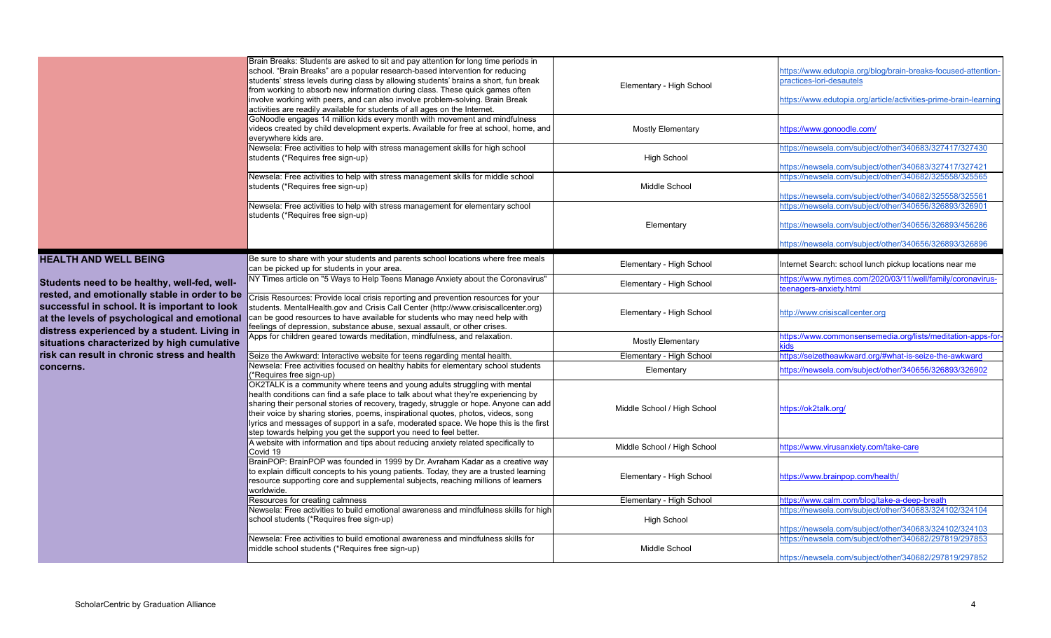|                                                                                                                                               | Brain Breaks: Students are asked to sit and pay attention for long time periods in<br>school. "Brain Breaks" are a popular research-based intervention for reducing<br>students' stress levels during class by allowing students' brains a short, fun break<br>from working to absorb new information during class. These quick games often<br>involve working with peers, and can also involve problem-solving. Brain Break<br>activities are readily available for students of all ages on the Internet.  | Elementary - High School    | https://www.edutopia.org/blog/brain-breaks-focused-attention-<br>practices-lori-desautels<br>https://www.edutopia.org/article/activities-prime-brain-learning |
|-----------------------------------------------------------------------------------------------------------------------------------------------|-------------------------------------------------------------------------------------------------------------------------------------------------------------------------------------------------------------------------------------------------------------------------------------------------------------------------------------------------------------------------------------------------------------------------------------------------------------------------------------------------------------|-----------------------------|---------------------------------------------------------------------------------------------------------------------------------------------------------------|
|                                                                                                                                               | GoNoodle engages 14 million kids every month with movement and mindfulness<br>videos created by child development experts. Available for free at school, home, and<br>everywhere kids are.                                                                                                                                                                                                                                                                                                                  | <b>Mostly Elementary</b>    | https://www.gonoodle.com/                                                                                                                                     |
|                                                                                                                                               | Newsela: Free activities to help with stress management skills for high school<br>students (*Requires free sign-up)                                                                                                                                                                                                                                                                                                                                                                                         | <b>High School</b>          | https://newsela.com/subject/other/340683/327417/327430<br>https://newsela.com/subject/other/340683/327417/327421                                              |
|                                                                                                                                               | Newsela: Free activities to help with stress management skills for middle school<br>students (*Requires free sign-up)                                                                                                                                                                                                                                                                                                                                                                                       | Middle School               | https://newsela.com/subject/other/340682/325558/325565<br>https://newsela.com/subject/other/340682/325558/325561                                              |
|                                                                                                                                               | Newsela: Free activities to help with stress management for elementary school<br>students (*Requires free sign-up)                                                                                                                                                                                                                                                                                                                                                                                          | Elementary                  | https://newsela.com/subject/other/340656/326893/326901<br>https://newsela.com/subject/other/340656/326893/456286                                              |
|                                                                                                                                               |                                                                                                                                                                                                                                                                                                                                                                                                                                                                                                             |                             | https://newsela.com/subject/other/340656/326893/326896                                                                                                        |
| <b>HEALTH AND WELL BEING</b>                                                                                                                  | Be sure to share with your students and parents school locations where free meals<br>can be picked up for students in your area.                                                                                                                                                                                                                                                                                                                                                                            | Elementary - High School    | Internet Search: school lunch pickup locations near me                                                                                                        |
| Students need to be healthy, well-fed, well-<br>rested, and emotionally stable in order to be                                                 | NY Times article on "5 Ways to Help Teens Manage Anxiety about the Coronavirus"                                                                                                                                                                                                                                                                                                                                                                                                                             | Elementary - High School    | https://www.nytimes.com/2020/03/11/well/family/coronavirus-<br>teenagers-anxiety.html                                                                         |
| successful in school. It is important to look<br>at the levels of psychological and emotional<br>distress experienced by a student. Living in | Crisis Resources: Provide local crisis reporting and prevention resources for your<br>students. MentalHealth.gov and Crisis Call Center (http://www.crisiscallcenter.org)<br>can be good resources to have available for students who may need help with<br>feelings of depression, substance abuse, sexual assault, or other crises.                                                                                                                                                                       | Elementary - High School    | http://www.crisiscallcenter.org                                                                                                                               |
| situations characterized by high cumulative                                                                                                   | Apps for children geared towards meditation, mindfulness, and relaxation.                                                                                                                                                                                                                                                                                                                                                                                                                                   | <b>Mostly Elementary</b>    | https://www.commonsensemedia.org/lists/meditation-apps-for                                                                                                    |
| risk can result in chronic stress and health                                                                                                  | Seize the Awkward: Interactive website for teens regarding mental health.                                                                                                                                                                                                                                                                                                                                                                                                                                   | Elementary - High School    | https://seizetheawkward.org/#what-is-seize-the-awkward                                                                                                        |
| concerns.                                                                                                                                     | Newsela: Free activities focused on healthy habits for elementary school students<br>*Requires free sign-up)                                                                                                                                                                                                                                                                                                                                                                                                | Elementary                  | https://newsela.com/subject/other/340656/326893/326902                                                                                                        |
|                                                                                                                                               | OK2TALK is a community where teens and young adults struggling with mental<br>health conditions can find a safe place to talk about what they're experiencing by<br>sharing their personal stories of recovery, tragedy, struggle or hope. Anyone can add<br>their voice by sharing stories, poems, inspirational quotes, photos, videos, song<br>lyrics and messages of support in a safe, moderated space. We hope this is the first<br>step towards helping you get the support you need to feel better. | Middle School / High School | https://ok2talk.org/                                                                                                                                          |
|                                                                                                                                               | A website with information and tips about reducing anxiety related specifically to<br>Covid 19                                                                                                                                                                                                                                                                                                                                                                                                              | Middle School / High School | https://www.virusanxiety.com/take-care                                                                                                                        |
|                                                                                                                                               | BrainPOP: BrainPOP was founded in 1999 by Dr. Avraham Kadar as a creative way<br>to explain difficult concepts to his young patients. Today, they are a trusted learning<br>resource supporting core and supplemental subjects, reaching millions of learners<br>worldwide.                                                                                                                                                                                                                                 | Elementary - High School    | https://www.brainpop.com/health/                                                                                                                              |
|                                                                                                                                               | Resources for creating calmness                                                                                                                                                                                                                                                                                                                                                                                                                                                                             | Elementary - High School    | https://www.calm.com/blog/take-a-deep-breath                                                                                                                  |
|                                                                                                                                               | Newsela: Free activities to build emotional awareness and mindfulness skills for high<br>school students (*Requires free sign-up)                                                                                                                                                                                                                                                                                                                                                                           | <b>High School</b>          | https://newsela.com/subject/other/340683/324102/324104<br>https://newsela.com/subject/other/340683/324102/324103                                              |
|                                                                                                                                               | Newsela: Free activities to build emotional awareness and mindfulness skills for<br>middle school students (*Requires free sign-up)                                                                                                                                                                                                                                                                                                                                                                         | Middle School               | https://newsela.com/subject/other/340682/297819/297853<br>https://newsela.com/subject/other/340682/297819/297852                                              |